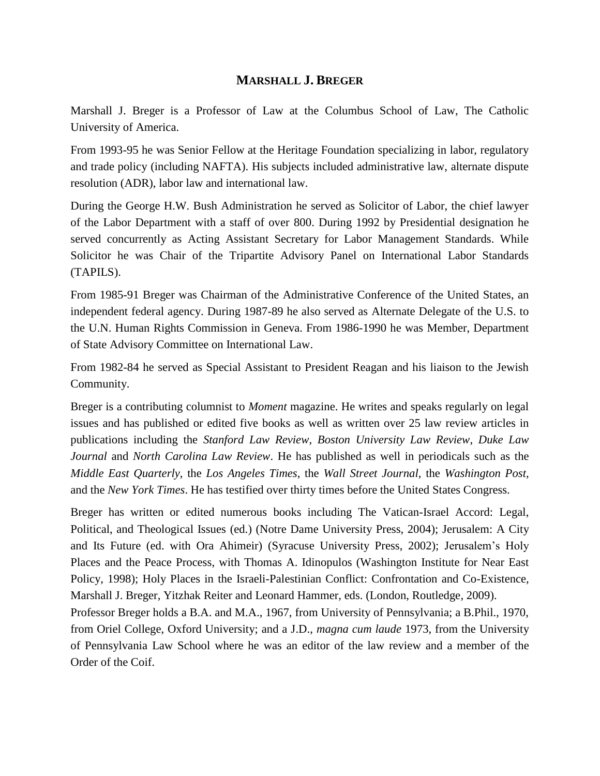## **MARSHALL J. BREGER**

Marshall J. Breger is a Professor of Law at the Columbus School of Law, The Catholic University of America.

From 1993-95 he was Senior Fellow at the Heritage Foundation specializing in labor, regulatory and trade policy (including NAFTA). His subjects included administrative law, alternate dispute resolution (ADR), labor law and international law.

During the George H.W. Bush Administration he served as Solicitor of Labor, the chief lawyer of the Labor Department with a staff of over 800. During 1992 by Presidential designation he served concurrently as Acting Assistant Secretary for Labor Management Standards. While Solicitor he was Chair of the Tripartite Advisory Panel on International Labor Standards (TAPILS).

From 1985-91 Breger was Chairman of the Administrative Conference of the United States, an independent federal agency. During 1987-89 he also served as Alternate Delegate of the U.S. to the U.N. Human Rights Commission in Geneva. From 1986-1990 he was Member, Department of State Advisory Committee on International Law.

From 1982-84 he served as Special Assistant to President Reagan and his liaison to the Jewish Community.

Breger is a contributing columnist to *Moment* magazine. He writes and speaks regularly on legal issues and has published or edited five books as well as written over 25 law review articles in publications including the *Stanford Law Review*, *Boston University Law Review*, *Duke Law Journal* and *North Carolina Law Review*. He has published as well in periodicals such as the *Middle East Quarterly*, the *Los Angeles Times*, the *Wall Street Journal*, the *Washington Post,* and the *New York Times*. He has testified over thirty times before the United States Congress.

Breger has written or edited numerous books including The Vatican-Israel Accord: Legal, Political, and Theological Issues (ed.) (Notre Dame University Press, 2004); Jerusalem: A City and Its Future (ed. with Ora Ahimeir) (Syracuse University Press, 2002); Jerusalem's Holy Places and the Peace Process, with Thomas A. Idinopulos (Washington Institute for Near East Policy, 1998); Holy Places in the Israeli-Palestinian Conflict: Confrontation and Co-Existence, Marshall J. Breger, Yitzhak Reiter and Leonard Hammer, eds. (London, Routledge, 2009).

Professor Breger holds a B.A. and M.A., 1967, from University of Pennsylvania; a B.Phil., 1970, from Oriel College, Oxford University; and a J.D., *magna cum laude* 1973, from the University of Pennsylvania Law School where he was an editor of the law review and a member of the Order of the Coif.